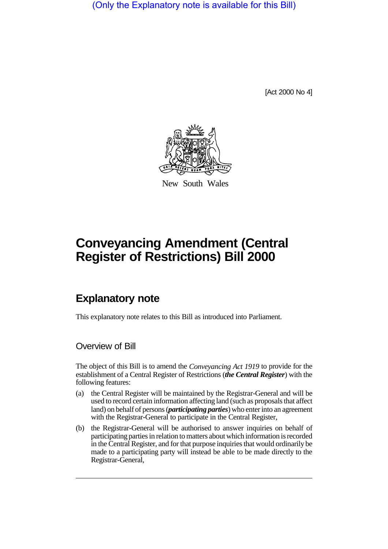(Only the Explanatory note is available for this Bill)

[Act 2000 No 4]



New South Wales

# **Conveyancing Amendment (Central Register of Restrictions) Bill 2000**

# **Explanatory note**

This explanatory note relates to this Bill as introduced into Parliament.

#### Overview of Bill

The object of this Bill is to amend the *Conveyancing Act 1919* to provide for the establishment of a Central Register of Restrictions (*the Central Register*) with the following features:

- (a) the Central Register will be maintained by the Registrar-General and will be used to record certain information affecting land (such as proposals that affect land) on behalf of persons (*participating parties*) who enter into an agreement with the Registrar-General to participate in the Central Register,
- (b) the Registrar-General will be authorised to answer inquiries on behalf of participating parties in relation to matters about which information is recorded in the Central Register, and for that purpose inquiries that would ordinarily be made to a participating party will instead be able to be made directly to the Registrar-General,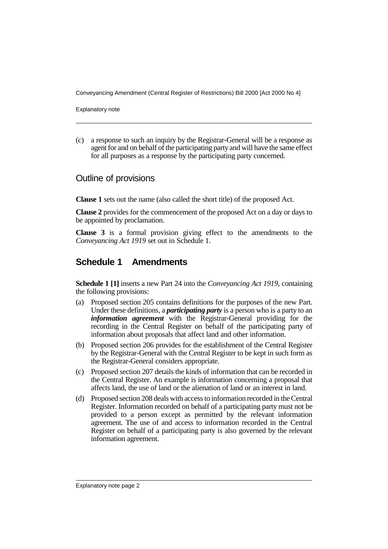Conveyancing Amendment (Central Register of Restrictions) Bill 2000 [Act 2000 No 4]

Explanatory note

(c) a response to such an inquiry by the Registrar-General will be a response as agent for and on behalf of the participating party and will have the same effect for all purposes as a response by the participating party concerned.

### Outline of provisions

**Clause 1** sets out the name (also called the short title) of the proposed Act.

**Clause 2** provides for the commencement of the proposed Act on a day or days to be appointed by proclamation.

**Clause 3** is a formal provision giving effect to the amendments to the *Conveyancing Act 1919* set out in Schedule 1.

## **Schedule 1 Amendments**

**Schedule 1 [1]** inserts a new Part 24 into the *Conveyancing Act 1919*, containing the following provisions:

- (a) Proposed section 205 contains definitions for the purposes of the new Part. Under these definitions, a *participating party* is a person who is a party to an *information agreement* with the Registrar-General providing for the recording in the Central Register on behalf of the participating party of information about proposals that affect land and other information.
- (b) Proposed section 206 provides for the establishment of the Central Register by the Registrar-General with the Central Register to be kept in such form as the Registrar-General considers appropriate.
- (c) Proposed section 207 details the kinds of information that can be recorded in the Central Register. An example is information concerning a proposal that affects land, the use of land or the alienation of land or an interest in land.
- (d) Proposed section 208 deals with access to information recorded in the Central Register. Information recorded on behalf of a participating party must not be provided to a person except as permitted by the relevant information agreement. The use of and access to information recorded in the Central Register on behalf of a participating party is also governed by the relevant information agreement.